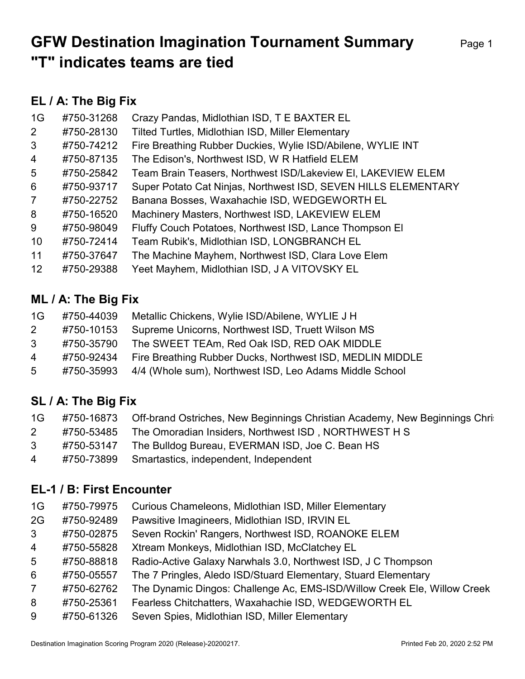# GFW Destination Imagination Tournament Summary Page 1 "T" indicates teams are tied

## EL / A: The Big Fix

| 1G             | #750-31268 | Crazy Pandas, Midlothian ISD, T E BAXTER EL                    |
|----------------|------------|----------------------------------------------------------------|
| $\mathbf{2}$   | #750-28130 | Tilted Turtles, Midlothian ISD, Miller Elementary              |
| 3              | #750-74212 | Fire Breathing Rubber Duckies, Wylie ISD/Abilene, WYLIE INT    |
| $\overline{4}$ | #750-87135 | The Edison's, Northwest ISD, W R Hatfield ELEM                 |
| 5              | #750-25842 | Team Brain Teasers, Northwest ISD/Lakeview EI, LAKEVIEW ELEM   |
| 6              | #750-93717 | Super Potato Cat Ninjas, Northwest ISD, SEVEN HILLS ELEMENTARY |
| $\overline{7}$ | #750-22752 | Banana Bosses, Waxahachie ISD, WEDGEWORTH EL                   |
| 8              | #750-16520 | Machinery Masters, Northwest ISD, LAKEVIEW ELEM                |
| 9              | #750-98049 | Fluffy Couch Potatoes, Northwest ISD, Lance Thompson El        |
| 10             | #750-72414 | Team Rubik's, Midlothian ISD, LONGBRANCH EL                    |
| 11             | #750-37647 | The Machine Mayhem, Northwest ISD, Clara Love Elem             |
| 12             | #750-29388 | Yeet Mayhem, Midlothian ISD, J A VITOVSKY EL                   |

#### ML / A: The Big Fix

| 1G             | #750-44039 | Metallic Chickens, Wylie ISD/Abilene, WYLIE J H           |
|----------------|------------|-----------------------------------------------------------|
| $\mathbf{2}$   | #750-10153 | Supreme Unicorns, Northwest ISD, Truett Wilson MS         |
| 3              | #750-35790 | The SWEET TEAm, Red Oak ISD, RED OAK MIDDLE               |
| $\overline{4}$ | #750-92434 | Fire Breathing Rubber Ducks, Northwest ISD, MEDLIN MIDDLE |
| 5 <sup>5</sup> | #750-35993 | 4/4 (Whole sum), Northwest ISD, Leo Adams Middle School   |

## SL / A: The Big Fix

| 1G           |            | #750-16873 Off-brand Ostriches, New Beginnings Christian Academy, New Beginnings Chri |
|--------------|------------|---------------------------------------------------------------------------------------|
| $\mathbf{2}$ | #750-53485 | The Omoradian Insiders, Northwest ISD, NORTHWEST H S                                  |
| 3            | #750-53147 | The Bulldog Bureau, EVERMAN ISD, Joe C. Bean HS                                       |
| 4            | #750-73899 | Smartastics, independent, Independent                                                 |

### EL-1 / B: First Encounter

| 1G | #750-79975 Curious Chameleons, Midlothian ISD, Miller Elementary |  |
|----|------------------------------------------------------------------|--|
|    |                                                                  |  |

- 2G #750-92489 Pawsitive Imagineers, Midlothian ISD, IRVIN EL
- 3 #750-02875 Seven Rockin' Rangers, Northwest ISD, ROANOKE ELEM
- 4 #750-55828 Xtream Monkeys, Midlothian ISD, McClatchey EL
- 5 #750-88818 Radio-Active Galaxy Narwhals 3.0, Northwest ISD, J C Thompson
- 6 #750-05557 The 7 Pringles, Aledo ISD/Stuard Elementary, Stuard Elementary
- 7 #750-62762 The Dynamic Dingos: Challenge Ac, EMS-ISD/Willow Creek Ele, Willow Creek
- 8 #750-25361 Fearless Chitchatters, Waxahachie ISD, WEDGEWORTH EL
- 9 #750-61326 Seven Spies, Midlothian ISD, Miller Elementary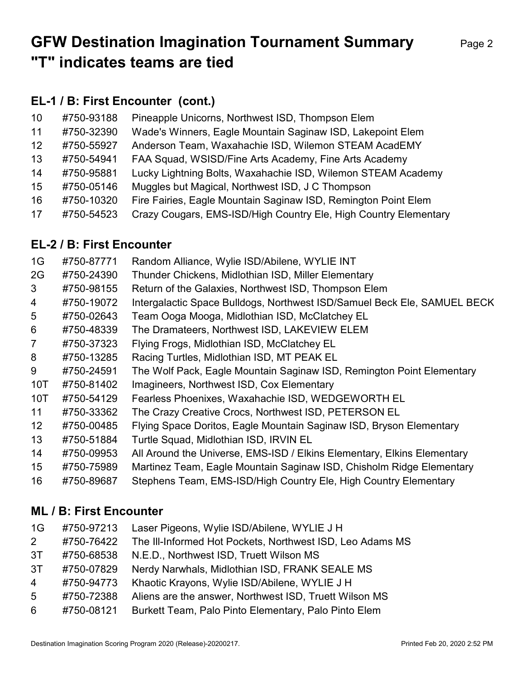# GFW Destination Imagination Tournament Summary Page 2 "T" indicates teams are tied

## EL-1 / B: First Encounter (cont.)

| 10                | #750-93188 | Pineapple Unicorns, Northwest ISD, Thompson Elem                 |
|-------------------|------------|------------------------------------------------------------------|
| 11                | #750-32390 | Wade's Winners, Eagle Mountain Saginaw ISD, Lakepoint Elem       |
| $12 \overline{ }$ | #750-55927 | Anderson Team, Waxahachie ISD, Wilemon STEAM AcadEMY             |
| 13                | #750-54941 | FAA Squad, WSISD/Fine Arts Academy, Fine Arts Academy            |
| 14                | #750-95881 | Lucky Lightning Bolts, Waxahachie ISD, Wilemon STEAM Academy     |
| 15                | #750-05146 | Muggles but Magical, Northwest ISD, J C Thompson                 |
| 16                | #750-10320 | Fire Fairies, Eagle Mountain Saginaw ISD, Remington Point Elem   |
| 17                | #750-54523 | Crazy Cougars, EMS-ISD/High Country Ele, High Country Elementary |

### EL-2 / B: First Encounter

| 1G               | #750-87771 | Random Alliance, Wylie ISD/Abilene, WYLIE INT                            |
|------------------|------------|--------------------------------------------------------------------------|
| 2G               | #750-24390 | Thunder Chickens, Midlothian ISD, Miller Elementary                      |
| 3                | #750-98155 | Return of the Galaxies, Northwest ISD, Thompson Elem                     |
| 4                | #750-19072 | Intergalactic Space Bulldogs, Northwest ISD/Samuel Beck Ele, SAMUEL BECK |
| 5                | #750-02643 | Team Ooga Mooga, Midlothian ISD, McClatchey EL                           |
| 6                | #750-48339 | The Dramateers, Northwest ISD, LAKEVIEW ELEM                             |
| $\overline{7}$   | #750-37323 | Flying Frogs, Midlothian ISD, McClatchey EL                              |
| 8                | #750-13285 | Racing Turtles, Midlothian ISD, MT PEAK EL                               |
| 9                | #750-24591 | The Wolf Pack, Eagle Mountain Saginaw ISD, Remington Point Elementary    |
| 10T              | #750-81402 | Imagineers, Northwest ISD, Cox Elementary                                |
| 10T              | #750-54129 | Fearless Phoenixes, Waxahachie ISD, WEDGEWORTH EL                        |
| 11               | #750-33362 | The Crazy Creative Crocs, Northwest ISD, PETERSON EL                     |
| 12 <sup>2</sup>  | #750-00485 | Flying Space Doritos, Eagle Mountain Saginaw ISD, Bryson Elementary      |
| 13 <sup>°</sup>  | #750-51884 | Turtle Squad, Midlothian ISD, IRVIN EL                                   |
| 14               | #750-09953 | All Around the Universe, EMS-ISD / Elkins Elementary, Elkins Elementary  |
| 15 <sub>15</sub> | #750-75989 | Martinez Team, Eagle Mountain Saginaw ISD, Chisholm Ridge Elementary     |
| 16               | #750-89687 | Stephens Team, EMS-ISD/High Country Ele, High Country Elementary         |
|                  |            |                                                                          |

### ML / B: First Encounter

| 1G             | #750-97213 | Laser Pigeons, Wylie ISD/Abilene, WYLIE J H               |
|----------------|------------|-----------------------------------------------------------|
| 2              | #750-76422 | The III-Informed Hot Pockets, Northwest ISD, Leo Adams MS |
| 3T             | #750-68538 | N.E.D., Northwest ISD, Truett Wilson MS                   |
| 3T             | #750-07829 | Nerdy Narwhals, Midlothian ISD, FRANK SEALE MS            |
| $\overline{4}$ | #750-94773 | Khaotic Krayons, Wylie ISD/Abilene, WYLIE J H             |
| 5              | #750-72388 | Aliens are the answer, Northwest ISD, Truett Wilson MS    |
| 6              | #750-08121 | Burkett Team, Palo Pinto Elementary, Palo Pinto Elem      |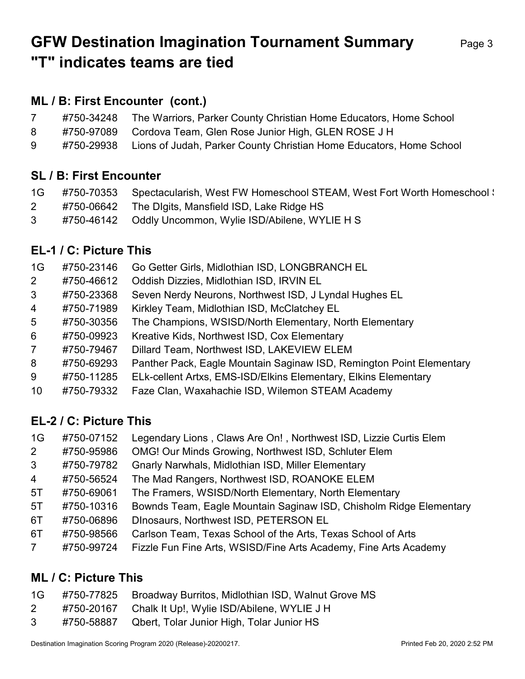# GFW Destination Imagination Tournament Summary Page 3 "T" indicates teams are tied

### ML / B: First Encounter (cont.)

|   | #750-34248 The Warriors, Parker County Christian Home Educators, Home School   |
|---|--------------------------------------------------------------------------------|
| 8 | #750-97089 Cordova Team, Glen Rose Junior High, GLEN ROSE J H                  |
| 9 | #750-29938 Lions of Judah, Parker County Christian Home Educators, Home School |

#### SL / B: First Encounter

| 1G — | #750-70353 Spectacularish, West FW Homeschool STEAM, West Fort Worth Homeschool \. |
|------|------------------------------------------------------------------------------------|
|      | #750-06642 The Digits, Mansfield ISD, Lake Ridge HS                                |
| 3    |                                                                                    |

#### EL-1 / C: Picture This

| 1G             | #750-23146 | Go Getter Girls, Midlothian ISD, LONGBRANCH EL                       |
|----------------|------------|----------------------------------------------------------------------|
| $\overline{2}$ | #750-46612 | Oddish Dizzies, Midlothian ISD, IRVIN EL                             |
| 3              | #750-23368 | Seven Nerdy Neurons, Northwest ISD, J Lyndal Hughes EL               |
| $\overline{4}$ | #750-71989 | Kirkley Team, Midlothian ISD, McClatchey EL                          |
| $5^{\circ}$    | #750-30356 | The Champions, WSISD/North Elementary, North Elementary              |
| 6              | #750-09923 | Kreative Kids, Northwest ISD, Cox Elementary                         |
| $\overline{7}$ | #750-79467 | Dillard Team, Northwest ISD, LAKEVIEW ELEM                           |
| 8              | #750-69293 | Panther Pack, Eagle Mountain Saginaw ISD, Remington Point Elementary |
| 9              | #750-11285 | ELk-cellent Artxs, EMS-ISD/Elkins Elementary, Elkins Elementary      |
| 10             | #750-79332 | Faze Clan, Waxahachie ISD, Wilemon STEAM Academy                     |

### EL-2 / C: Picture This

|  |  | 1G #750-07152 Legendary Lions, Claws Are On!, Northwest ISD, Lizzie Curtis Elem |  |  |  |
|--|--|---------------------------------------------------------------------------------|--|--|--|
|--|--|---------------------------------------------------------------------------------|--|--|--|

- 2 #750-95986 OMG! Our Minds Growing, Northwest ISD, Schluter Elem
- 3 #750-79782 Gnarly Narwhals, Midlothian ISD, Miller Elementary
- 4 #750-56524 The Mad Rangers, Northwest ISD, ROANOKE ELEM
- 5T #750-69061 The Framers, WSISD/North Elementary, North Elementary
- 5T #750-10316 Bownds Team, Eagle Mountain Saginaw ISD, Chisholm Ridge Elementary
- 6T #750-06896 DInosaurs, Northwest ISD, PETERSON EL
- 6T #750-98566 Carlson Team, Texas School of the Arts, Texas School of Arts
- 7 #750-99724 Fizzle Fun Fine Arts, WSISD/Fine Arts Academy, Fine Arts Academy

#### ML / C: Picture This

| 1G |  | #750-77825 Broadway Burritos, Midlothian ISD, Walnut Grove MS |  |  |
|----|--|---------------------------------------------------------------|--|--|
|----|--|---------------------------------------------------------------|--|--|

- 2 #750-20167 Chalk It Up!, Wylie ISD/Abilene, WYLIE J H
- 3 #750-58887 Qbert, Tolar Junior High, Tolar Junior HS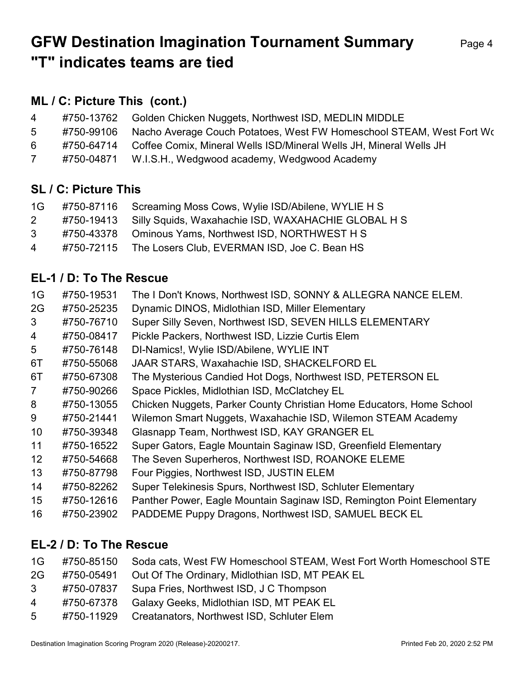# GFW Destination Imagination Tournament Summary Page 4 "T" indicates teams are tied

### ML / C: Picture This (cont.)

| $\overline{4}$ | #750-13762 | Golden Chicken Nuggets, Northwest ISD, MEDLIN MIDDLE                          |
|----------------|------------|-------------------------------------------------------------------------------|
| 5              | #750-99106 | Nacho Average Couch Potatoes, West FW Homeschool STEAM, West Fort Wo          |
| 6              |            | #750-64714 Coffee Comix, Mineral Wells ISD/Mineral Wells JH, Mineral Wells JH |
|                | #750-04871 | W.I.S.H., Wedgwood academy, Wedgwood Academy                                  |

#### SL / C: Picture This

| 1G             | #750-87116 Screaming Moss Cows, Wylie ISD/Abilene, WYLIE H S   |
|----------------|----------------------------------------------------------------|
| $2^{\circ}$    | #750-19413 Silly Squids, Waxahachie ISD, WAXAHACHIE GLOBAL H S |
| 3 <sup>7</sup> | #750-43378 Ominous Yams, Northwest ISD, NORTHWEST H S          |
| $\overline{4}$ | #750-72115 The Losers Club, EVERMAN ISD, Joe C. Bean HS        |

### EL-1 / D: To The Rescue

| 1G               | #750-19531 | The I Don't Knows, Northwest ISD, SONNY & ALLEGRA NANCE ELEM.         |
|------------------|------------|-----------------------------------------------------------------------|
| 2G               | #750-25235 | Dynamic DINOS, Midlothian ISD, Miller Elementary                      |
| 3                | #750-76710 | Super Silly Seven, Northwest ISD, SEVEN HILLS ELEMENTARY              |
| 4                | #750-08417 | Pickle Packers, Northwest ISD, Lizzie Curtis Elem                     |
| 5                | #750-76148 | DI-Namics!, Wylie ISD/Abilene, WYLIE INT                              |
| 6T               | #750-55068 | JAAR STARS, Waxahachie ISD, SHACKELFORD EL                            |
| 6T               | #750-67308 | The Mysterious Candied Hot Dogs, Northwest ISD, PETERSON EL           |
| $\overline{7}$   | #750-90266 | Space Pickles, Midlothian ISD, McClatchey EL                          |
| 8                | #750-13055 | Chicken Nuggets, Parker County Christian Home Educators, Home School  |
| 9                | #750-21441 | Wilemon Smart Nuggets, Waxahachie ISD, Wilemon STEAM Academy          |
| 10               | #750-39348 | Glasnapp Team, Northwest ISD, KAY GRANGER EL                          |
| 11               | #750-16522 | Super Gators, Eagle Mountain Saginaw ISD, Greenfield Elementary       |
| 12 <sup>2</sup>  | #750-54668 | The Seven Superheros, Northwest ISD, ROANOKE ELEME                    |
| 13               | #750-87798 | Four Piggies, Northwest ISD, JUSTIN ELEM                              |
| 14               | #750-82262 | Super Telekinesis Spurs, Northwest ISD, Schluter Elementary           |
| 15 <sub>15</sub> | #750-12616 | Panther Power, Eagle Mountain Saginaw ISD, Remington Point Elementary |
| 16               | #750-23902 | PADDEME Puppy Dragons, Northwest ISD, SAMUEL BECK EL                  |
|                  |            |                                                                       |

## EL-2 / D: To The Rescue

|  |  | 1G #750-85150 Soda cats, West FW Homeschool STEAM, West Fort Worth Homeschool STE |
|--|--|-----------------------------------------------------------------------------------|
|--|--|-----------------------------------------------------------------------------------|

- 2G #750-05491 Out Of The Ordinary, Midlothian ISD, MT PEAK EL
- 3 #750-07837 Supa Fries, Northwest ISD, J C Thompson
- 4 #750-67378 Galaxy Geeks, Midlothian ISD, MT PEAK EL
- 5 #750-11929 Creatanators, Northwest ISD, Schluter Elem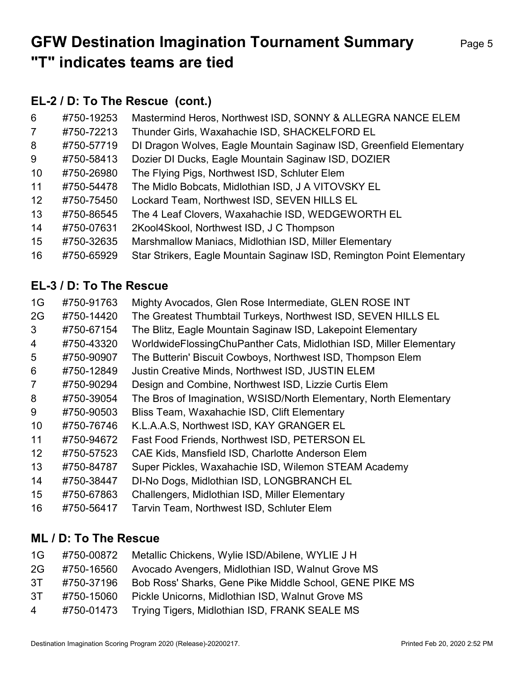# GFW Destination Imagination Tournament Summary Page 5 "T" indicates teams are tied

## EL-2 / D: To The Rescue (cont.)

| 6                 | #750-19253 | Mastermind Heros, Northwest ISD, SONNY & ALLEGRA NANCE ELEM           |
|-------------------|------------|-----------------------------------------------------------------------|
| $\overline{7}$    | #750-72213 | Thunder Girls, Waxahachie ISD, SHACKELFORD EL                         |
| 8                 | #750-57719 | DI Dragon Wolves, Eagle Mountain Saginaw ISD, Greenfield Elementary   |
| 9                 | #750-58413 | Dozier DI Ducks, Eagle Mountain Saginaw ISD, DOZIER                   |
| 10                | #750-26980 | The Flying Pigs, Northwest ISD, Schluter Elem                         |
| 11                | #750-54478 | The Midlo Bobcats, Midlothian ISD, J A VITOVSKY EL                    |
| $12 \overline{ }$ | #750-75450 | Lockard Team, Northwest ISD, SEVEN HILLS EL                           |
| 13                | #750-86545 | The 4 Leaf Clovers, Waxahachie ISD, WEDGEWORTH EL                     |
| 14                | #750-07631 | 2Kool4Skool, Northwest ISD, J C Thompson                              |
| 15                | #750-32635 | Marshmallow Maniacs, Midlothian ISD, Miller Elementary                |
| 16                | #750-65929 | Star Strikers, Eagle Mountain Saginaw ISD, Remington Point Elementary |

## EL-3 / D: To The Rescue

| 1G             | #750-91763 | Mighty Avocados, Glen Rose Intermediate, GLEN ROSE INT              |
|----------------|------------|---------------------------------------------------------------------|
| 2G             | #750-14420 | The Greatest Thumbtail Turkeys, Northwest ISD, SEVEN HILLS EL       |
| 3              | #750-67154 | The Blitz, Eagle Mountain Saginaw ISD, Lakepoint Elementary         |
| 4              | #750-43320 | WorldwideFlossingChuPanther Cats, Midlothian ISD, Miller Elementary |
| 5              | #750-90907 | The Butterin' Biscuit Cowboys, Northwest ISD, Thompson Elem         |
| 6              | #750-12849 | Justin Creative Minds, Northwest ISD, JUSTIN ELEM                   |
| $\overline{7}$ | #750-90294 | Design and Combine, Northwest ISD, Lizzie Curtis Elem               |
| 8              | #750-39054 | The Bros of Imagination, WSISD/North Elementary, North Elementary   |
| 9              | #750-90503 | Bliss Team, Waxahachie ISD, Clift Elementary                        |
| 10             | #750-76746 | K.L.A.A.S, Northwest ISD, KAY GRANGER EL                            |
| 11             | #750-94672 | Fast Food Friends, Northwest ISD, PETERSON EL                       |
| 12             | #750-57523 | CAE Kids, Mansfield ISD, Charlotte Anderson Elem                    |
| 13             | #750-84787 | Super Pickles, Waxahachie ISD, Wilemon STEAM Academy                |
| 14             | #750-38447 | DI-No Dogs, Midlothian ISD, LONGBRANCH EL                           |
| 15             | #750-67863 | Challengers, Midlothian ISD, Miller Elementary                      |
| 16             | #750-56417 | Tarvin Team, Northwest ISD, Schluter Elem                           |

### ML / D: To The Rescue

| 1G             | #750-00872 | Metallic Chickens, Wylie ISD/Abilene, WYLIE J H          |
|----------------|------------|----------------------------------------------------------|
| 2G             | #750-16560 | Avocado Avengers, Midlothian ISD, Walnut Grove MS        |
| 3T             | #750-37196 | Bob Ross' Sharks, Gene Pike Middle School, GENE PIKE MS  |
| 3T             | #750-15060 | Pickle Unicorns, Midlothian ISD, Walnut Grove MS         |
| $\overline{4}$ |            | #750-01473 Trying Tigers, Midlothian ISD, FRANK SEALE MS |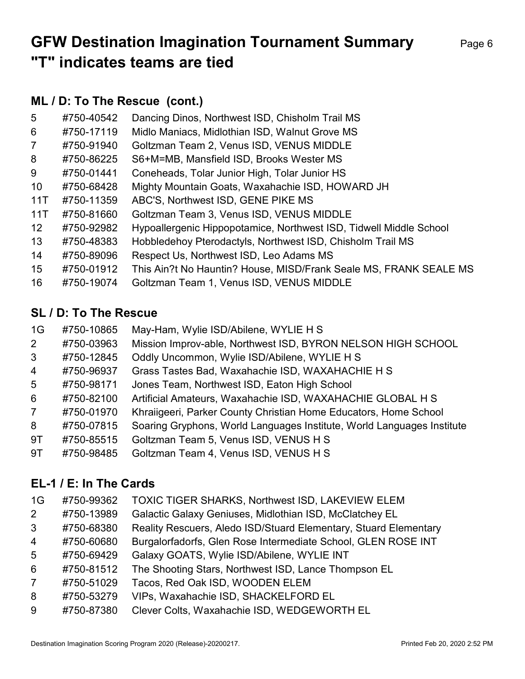# GFW Destination Imagination Tournament Summary Page 6 "T" indicates teams are tied

### ML / D: To The Rescue (cont.)

| 5               | #750-40542 | Dancing Dinos, Northwest ISD, Chisholm Trail MS                    |
|-----------------|------------|--------------------------------------------------------------------|
| 6               | #750-17119 | Midlo Maniacs, Midlothian ISD, Walnut Grove MS                     |
| $\overline{7}$  | #750-91940 | Goltzman Team 2, Venus ISD, VENUS MIDDLE                           |
| 8               | #750-86225 | S6+M=MB, Mansfield ISD, Brooks Wester MS                           |
| 9               | #750-01441 | Coneheads, Tolar Junior High, Tolar Junior HS                      |
| 10 <sup>°</sup> | #750-68428 | Mighty Mountain Goats, Waxahachie ISD, HOWARD JH                   |
| 11T             | #750-11359 | ABC'S, Northwest ISD, GENE PIKE MS                                 |
| 11T             | #750-81660 | Goltzman Team 3, Venus ISD, VENUS MIDDLE                           |
| 12 <sup>2</sup> | #750-92982 | Hypoallergenic Hippopotamice, Northwest ISD, Tidwell Middle School |
| 13              | #750-48383 | Hobbledehoy Pterodactyls, Northwest ISD, Chisholm Trail MS         |
| 14              | #750-89096 | Respect Us, Northwest ISD, Leo Adams MS                            |
| 15              | #750-01912 | This Ain?t No Hauntin? House, MISD/Frank Seale MS, FRANK SEALE MS  |
| 16              | #750-19074 | Goltzman Team 1, Venus ISD, VENUS MIDDLE                           |

#### SL / D: To The Rescue

| 1G             | #750-10865 | May-Ham, Wylie ISD/Abilene, WYLIE H S                                  |
|----------------|------------|------------------------------------------------------------------------|
| 2 <sup>1</sup> | #750-03963 | Mission Improv-able, Northwest ISD, BYRON NELSON HIGH SCHOOL           |
| 3              | #750-12845 | Oddly Uncommon, Wylie ISD/Abilene, WYLIE H S                           |
| $\overline{4}$ | #750-96937 | Grass Tastes Bad, Waxahachie ISD, WAXAHACHIE H S                       |
| $5^{\circ}$    | #750-98171 | Jones Team, Northwest ISD, Eaton High School                           |
| 6              | #750-82100 | Artificial Amateurs, Waxahachie ISD, WAXAHACHIE GLOBAL H S             |
| $\overline{7}$ | #750-01970 | Khraiigeeri, Parker County Christian Home Educators, Home School       |
| 8              | #750-07815 | Soaring Gryphons, World Languages Institute, World Languages Institute |
| 9T             | #750-85515 | Goltzman Team 5, Venus ISD, VENUS H S                                  |
| 9T             | #750-98485 | Goltzman Team 4, Venus ISD, VENUS H S                                  |

#### EL-1 / E: In The Cards

1G #750-99362 TOXIC TIGER SHARKS, Northwest ISD, LAKEVIEW ELEM

- 2 #750-13989 Galactic Galaxy Geniuses, Midlothian ISD, McClatchey EL
- 3 #750-68380 Reality Rescuers, Aledo ISD/Stuard Elementary, Stuard Elementary
- 4 #750-60680 Burgalorfadorfs, Glen Rose Intermediate School, GLEN ROSE INT
- 5 #750-69429 Galaxy GOATS, Wylie ISD/Abilene, WYLIE INT
- 6 #750-81512 The Shooting Stars, Northwest ISD, Lance Thompson EL
- 7 #750-51029 Tacos, Red Oak ISD, WOODEN ELEM
- 8 #750-53279 VIPs, Waxahachie ISD, SHACKELFORD EL
- 9 #750-87380 Clever Colts, Waxahachie ISD, WEDGEWORTH EL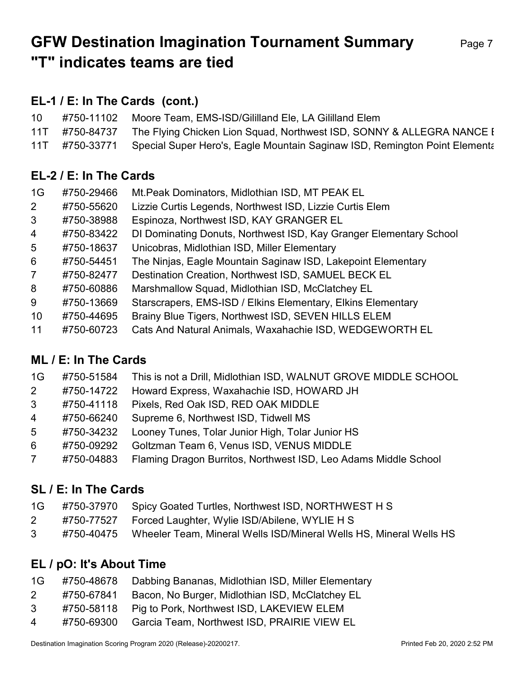# GFW Destination Imagination Tournament Summary Page 7 "T" indicates teams are tied

### EL-1 / E: In The Cards (cont.)

| 10 <sup>1</sup> | #750-11102 Moore Team, EMS-ISD/Gililland Ele, LA Gililland Elem                           |
|-----------------|-------------------------------------------------------------------------------------------|
|                 | 11T #750-84737 The Flying Chicken Lion Squad, Northwest ISD, SONNY & ALLEGRA NANCE I      |
|                 | 11T #750-33771 Special Super Hero's, Eagle Mountain Saginaw ISD, Remington Point Elementa |

### EL-2 / E: In The Cards

| 1G             | #750-29466 | Mt. Peak Dominators, Midlothian ISD, MT PEAK EL                    |
|----------------|------------|--------------------------------------------------------------------|
| $\overline{2}$ | #750-55620 | Lizzie Curtis Legends, Northwest ISD, Lizzie Curtis Elem           |
| 3              | #750-38988 | Espinoza, Northwest ISD, KAY GRANGER EL                            |
| $\overline{4}$ | #750-83422 | DI Dominating Donuts, Northwest ISD, Kay Granger Elementary School |
| 5              | #750-18637 | Unicobras, Midlothian ISD, Miller Elementary                       |
| 6              | #750-54451 | The Ninjas, Eagle Mountain Saginaw ISD, Lakepoint Elementary       |
| $\overline{7}$ | #750-82477 | Destination Creation, Northwest ISD, SAMUEL BECK EL                |
| 8              | #750-60886 | Marshmallow Squad, Midlothian ISD, McClatchey EL                   |
| 9              | #750-13669 | Starscrapers, EMS-ISD / Elkins Elementary, Elkins Elementary       |
| 10             | #750-44695 | Brainy Blue Tigers, Northwest ISD, SEVEN HILLS ELEM                |
| 11             | #750-60723 | Cats And Natural Animals, Waxahachie ISD, WEDGEWORTH EL            |

### ML / E: In The Cards

| 1G             | #750-51584 This is not a Drill, Midlothian ISD, WALNUT GROVE MIDDLE SCHOOL                                                     |
|----------------|--------------------------------------------------------------------------------------------------------------------------------|
| $2^{\circ}$    | #750-14722 Howard Express, Waxahachie ISD, HOWARD JH                                                                           |
|                | 3 #750-41118 Pixels, Red Oak ISD, RED OAK MIDDLE                                                                               |
| $\blacksquare$ | $\mathbf{u} = \mathbf{v} \times \mathbf{v} \times \mathbf{v}$ as $\mathbf{v} = \mathbf{v} \times \mathbf{v} \times \mathbf{v}$ |

- 4 #750-66240 Supreme 6, Northwest ISD, Tidwell MS
- 5 #750-34232 Looney Tunes, Tolar Junior High, Tolar Junior HS
- 6 #750-09292 Goltzman Team 6, Venus ISD, VENUS MIDDLE
- 7 #750-04883 Flaming Dragon Burritos, Northwest ISD, Leo Adams Middle School

### SL / E: In The Cards

| 1G | #750-37970     Spicy Goated Turtles, Northwest ISD, NORTHWEST H S |
|----|-------------------------------------------------------------------|
|    |                                                                   |

- 2 #750-77527 Forced Laughter, Wylie ISD/Abilene, WYLIE H S
- 3 #750-40475 Wheeler Team, Mineral Wells ISD/Mineral Wells HS, Mineral Wells HS

### EL / pO: It's About Time

| 1G | #750-48678 Dabbing Bananas, Midlothian ISD, Miller Elementary |  |  |
|----|---------------------------------------------------------------|--|--|
|    |                                                               |  |  |

- 2 #750-67841 Bacon, No Burger, Midlothian ISD, McClatchey EL
- 3 #750-58118 Pig to Pork, Northwest ISD, LAKEVIEW ELEM
- 4 #750-69300 Garcia Team, Northwest ISD, PRAIRIE VIEW EL